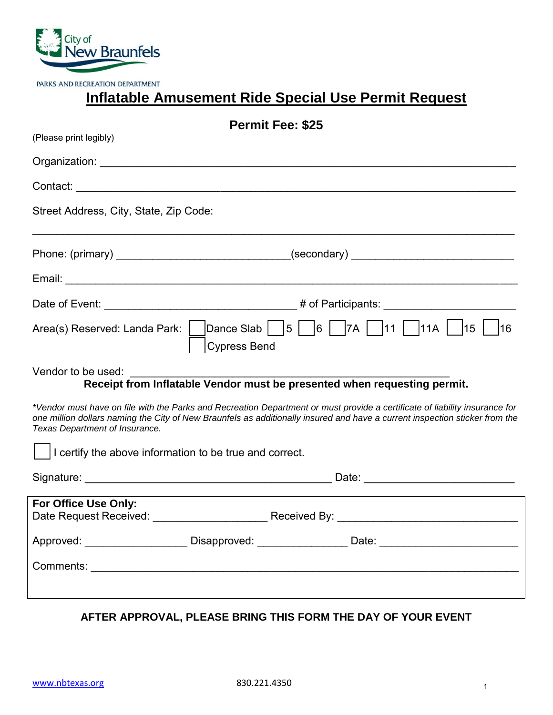

PARKS AND RECREATION DEPARTMENT

## **Inflatable Amusement Ride Special Use Permit Request**

| <b>Permit Fee: \$25</b><br>(Please print legibly) |                                                                                                                                                                                                                                                            |
|---------------------------------------------------|------------------------------------------------------------------------------------------------------------------------------------------------------------------------------------------------------------------------------------------------------------|
|                                                   |                                                                                                                                                                                                                                                            |
|                                                   |                                                                                                                                                                                                                                                            |
| Street Address, City, State, Zip Code:            |                                                                                                                                                                                                                                                            |
|                                                   |                                                                                                                                                                                                                                                            |
|                                                   |                                                                                                                                                                                                                                                            |
|                                                   |                                                                                                                                                                                                                                                            |
|                                                   | Area(s) Reserved: Landa Park:   $\vert$ Dance Slab   $\vert 5 \vert$   6   $\vert 7A \vert$   11   11A  <br>$\vert 15 \vert$<br>16<br><b>Cypress Bend</b>                                                                                                  |
| Vendor to be used:                                | Receipt from Inflatable Vendor must be presented when requesting permit.                                                                                                                                                                                   |
| Texas Department of Insurance.                    | *Vendor must have on file with the Parks and Recreation Department or must provide a certificate of liability insurance for<br>one million dollars naming the City of New Braunfels as additionally insured and have a current inspection sticker from the |
|                                                   | I certify the above information to be true and correct.                                                                                                                                                                                                    |
|                                                   |                                                                                                                                                                                                                                                            |
| For Office Use Only:<br>Date Request Received:    | Received By:                                                                                                                                                                                                                                               |
|                                                   | Approved: _______________________Disapproved: ___________________Date: _____________________________                                                                                                                                                       |
|                                                   |                                                                                                                                                                                                                                                            |
|                                                   |                                                                                                                                                                                                                                                            |

### **AFTER APPROVAL, PLEASE BRING THIS FORM THE DAY OF YOUR EVENT**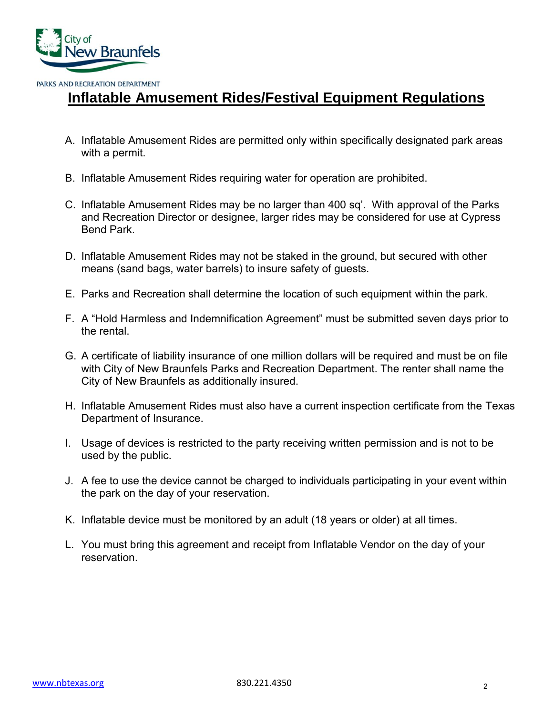

## **Inflatable Amusement Rides/Festival Equipment Regulations**

- A. Inflatable Amusement Rides are permitted only within specifically designated park areas with a permit.
- B. Inflatable Amusement Rides requiring water for operation are prohibited.
- C. Inflatable Amusement Rides may be no larger than 400 sq'. With approval of the Parks and Recreation Director or designee, larger rides may be considered for use at Cypress Bend Park.
- D. Inflatable Amusement Rides may not be staked in the ground, but secured with other means (sand bags, water barrels) to insure safety of guests.
- E. Parks and Recreation shall determine the location of such equipment within the park.
- F. A "Hold Harmless and Indemnification Agreement" must be submitted seven days prior to the rental.
- G. A certificate of liability insurance of one million dollars will be required and must be on file with City of New Braunfels Parks and Recreation Department. The renter shall name the City of New Braunfels as additionally insured.
- H. Inflatable Amusement Rides must also have a current inspection certificate from the Texas Department of Insurance.
- I. Usage of devices is restricted to the party receiving written permission and is not to be used by the public.
- J. A fee to use the device cannot be charged to individuals participating in your event within the park on the day of your reservation.
- K. Inflatable device must be monitored by an adult (18 years or older) at all times.
- L. You must bring this agreement and receipt from Inflatable Vendor on the day of your reservation.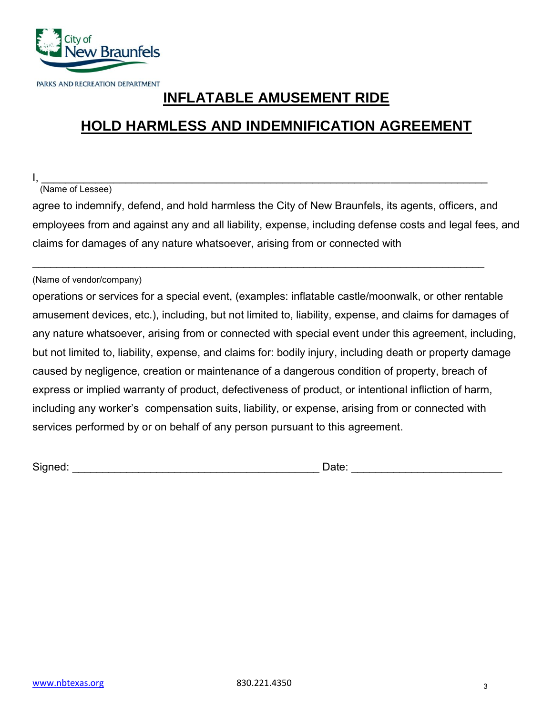

# **INFLATABLE AMUSEMENT RIDE**

# **HOLD HARMLESS AND INDEMNIFICATION AGREEMENT**

I, \_\_\_\_\_\_\_\_\_\_\_\_\_\_\_\_\_\_\_\_\_\_\_\_\_\_\_\_\_\_\_\_\_\_\_\_\_\_\_\_\_\_\_\_\_\_\_\_\_\_\_\_\_\_\_\_\_\_\_\_\_\_\_\_\_\_\_\_\_\_\_\_\_\_

### (Name of Lessee)

agree to indemnify, defend, and hold harmless the City of New Braunfels, its agents, officers, and employees from and against any and all liability, expense, including defense costs and legal fees, and claims for damages of any nature whatsoever, arising from or connected with

 $\overline{\phantom{a}}$  , and the contribution of the contribution of the contribution of the contribution of the contribution of the contribution of the contribution of the contribution of the contribution of the contribution of the

#### (Name of vendor/company)

operations or services for a special event, (examples: inflatable castle/moonwalk, or other rentable amusement devices, etc.), including, but not limited to, liability, expense, and claims for damages of any nature whatsoever, arising from or connected with special event under this agreement, including, but not limited to, liability, expense, and claims for: bodily injury, including death or property damage caused by negligence, creation or maintenance of a dangerous condition of property, breach of express or implied warranty of product, defectiveness of product, or intentional infliction of harm, including any worker's compensation suits, liability, or expense, arising from or connected with services performed by or on behalf of any person pursuant to this agreement.

Signed: \_\_\_\_\_\_\_\_\_\_\_\_\_\_\_\_\_\_\_\_\_\_\_\_\_\_\_\_\_\_\_\_\_\_\_\_\_\_\_\_\_ Date: \_\_\_\_\_\_\_\_\_\_\_\_\_\_\_\_\_\_\_\_\_\_\_\_\_